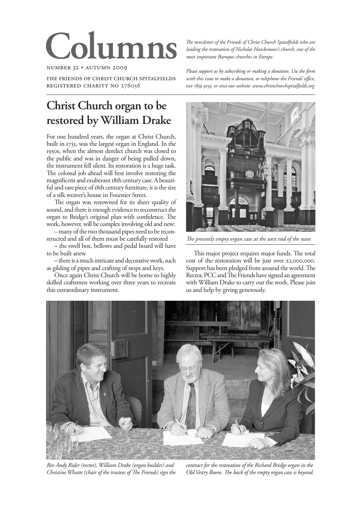# **Columns**

NUMBER 32 . AUTUMN 2009

THE FRIENDS OF CHRIST CHURCH SPITALFIELDS REGISTERED CHARITY NO 276056

# **Christ Church organ to be restored by William Drake**

For one hundred years, the organ at Christ Church, built in 1735, was the largest organ in England. In the 1950s, when the almost derelict church was closed to the public and was in danger of being pulled down, the instrument fell silent. Its restoration is a huge task. The colossal job ahead will first involve restoring the magnificent and exuberant 18th century case. A beautiful and rare piece of 18th century furniture, it is the size of a silk weaver's house in Fournier Street.

The organ was renowned for its sheer quality of sound, and there is enough evidence to reconstruct the organ to Bridge's original plan with confidence. The work, however, will be complex involving old and new:

– many of the two thousand pipes need to be reconstructed and all of them must be carefully restored

**–** the swell box, bellows and pedal board will have to be built anew

**–** there is a much intricate and decorative work, such as gilding of pipes and crafting of stops and keys.

Once again Christ Church will be home to highly skilled craftsmen working over three years to recreate this extraordinary instrument.

*!e newsletter of the Friends of Christ Church Spitalfields who are leading the restoration of Nicholas Hawksmoor's church, one of the most important Baroque churches in Europe.*

*Please support us by subscribing or making a donation. Use the form with this issue to make a donation, or telephone the Friends' office, , or visit our website: www.christchurchspitalfields.org*



The presently empty organ case at the west end of the nave

This major project requires major funds. The total cost of the restoration will be just over  $\epsilon$ 1,000,000. Support has been pledged from around the world. The Rector, PCC and The Friends have signed an agreement with William Drake to carry out the work. Please join us and help by giving generously.



*Rev Andy Rider (rector), William Drake (organ builder) and Christine Whaite (chair of the trustees of The Friends) sign the* 

*contract for the restoration of the Richard Bridge organ in the*  Old Vestry Room. The back of the empty organ case is beyond.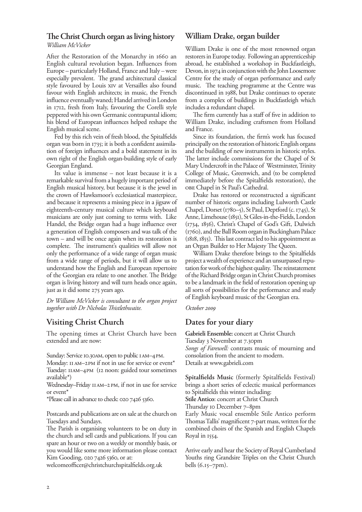## **The Christ Church organ as living history**

*William McVicker* 

After the Restoration of the Monarchy in 1660 an English cultural revolution began. Influences from Europe – particularly Holland, France and Italy – were especially prevalent. The grand architectural classical style favoured by Louis XIV at Versailles also found favour with English architects; in music, the French influence eventually waned; Handel arrived in London in 1712, fresh from Italy, favouring the Corelli style peppered with his own Germanic contrapuntal idiom; his blend of European influences helped reshape the English musical scene.

Fed by this rich vein of fresh blood, the Spitalfields organ was born in 1735; it is both a confident assimilation of foreign influences and a bold statement in its own right of the English organ-building style of early Georgian England.

Its value is immense – not least because it is a remarkable survival from a hugely important period of English musical history, but because it is the jewel in the crown of Hawksmoor's ecclesiastical masterpiece, and because it represents a missing piece in a jigsaw of eighteenth-century musical culture which keyboard musicians are only just coming to terms with. Like Handel, the Bridge organ had a huge influence over a generation of English composers and was talk of the town – and will be once again when its restoration is complete. The instrument's qualities will allow not only the performance of a wide range of organ music from a wide range of periods, but it will allow us to understand how the English and European repertoire of the Georgian era relate to one another. The Bridge organ is living history and will turn heads once again, just as it did some 275 years ago.

*Dr William McVicker is consultant to the organ project*  together with Dr Nicholas Thistlethwaite.

# **Visiting Christ Church**

The opening times at Christ Church have been extended and are now:

Sunday: Service 10.30AM, open to public IAM-4PM.

Monday: II AM-2PM if not in use for service or event\* Tuesday: IIAM-4PM (I2 noon: guided tour sometimes available\*)

Wednesday–Friday 11 AM–2 PM, if not in use for service or event\*

 $*$ Please call in advance to check:  $02074265360$ .

Postcards and publications are on sale at the church on Tuesdays and Sundays.

The Parish is organising volunteers to be on duty in the church and sell cards and publications. If you can spare an hour or two on a weekly or monthly basis, or you would like some more information please contact Kim Gooding, 020 7426 5360, or at:

welcomeofficer@christchurchspitalfields.org.uk

#### **William Drake, organ builder**

William Drake is one of the most renowned organ restorers in Europe today. Following an apprenticeship abroad, he established a workshop in Buckfastleigh, Devon, in 1974 in conjunction with the John Loosemore Centre for the study of organ performance and early music. The teaching programme at the Centre was discontinued in 1988, but Drake continues to operate from a complex of buildings in Buckfastleigh which includes a redundant chapel.

The firm currently has a staff of five in addition to William Drake, including craftsmen from Holland and France.

Since its foundation, the firm's work has focused principally on the restoration of historic English organs and the building of new instruments in historic styles. The latter include commissions for the Chapel of St Mary Undercroft in the Palace of Westminster, Trinity College of Music, Greenwich, and (to be completed immediately before the Spitalfields restoration), the OBE Chapel in St Paul's Cathedral.

Drake has restored or reconstructed a significant number of historic organs including Lulworth Castle Chapel, Dorset ( $1780-5$ ), St Paul, Deptford (c.  $1745$ ), St Anne, Limehouse (1851), St Giles-in-the-Fields, London (1734, 1856), Christ's Chapel of God's Gift, Dulwich (1760), and the Ball Room organ in Buckingham Palace  $(1818, 1855)$ . This last contract led to his appointment as an Organ Builder to Her Majesty The Queen.

William Drake therefore brings to the Spitalfields project a wealth of experience and an unsurpassed reputation for work of the highest quality. The reinstatement of the Richard Bridge organ in Christ Church promises to be a landmark in the field of restoration opening up all sorts of possibilities for the performance and study of English keyboard music of the Georgian era.

*October* 

### **Dates for your diary**

**Gabrieli Ensemble:** concert at Christ Church Tuesday 3 November at 7.30pm *Songs of Farewell:* contrasts music of mourning and consolation from the ancient to modern. Details at www.gabrieli.com

**Spitalfields Music** (formerly Spitalfields Festival) brings a short series of eclectic musical performances to Spitalfields this winter including: **Stile Antico**: concert at Christ Church

Thursday 10 December 7-8pm

Early Music vocal ensemble Stile Antico perform Thomas Tallis' magnificent 7-part mass, written for the combined choirs of the Spanish and English Chapels Royal in 1554.

Arrive early and hear the Society of Royal Cumberland Youths ring Grandsire Triples on the Christ Church bells  $(6.15 - 7pm)$ .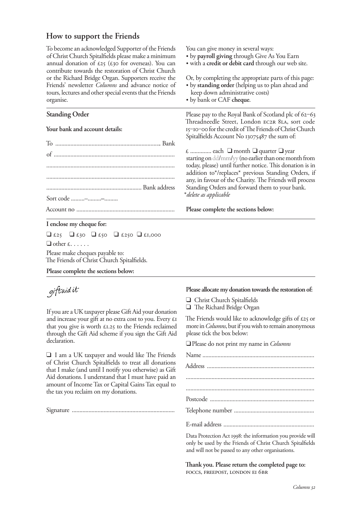## **How to support the Friends**

To become an acknowledged Supporter of the Friends of Christ Church Spitalfields please make a minimum annual donation of  $\epsilon_{25}$  ( $\epsilon_{30}$  for overseas). You can contribute towards the restoration of Christ Church or the Richard Bridge Organ. Supporters receive the Friends' newsletter *Columns* and advance notice of tours, lectures and other special events that the Friends organise.

#### **Standing Order**

**Your bank and account details:**

| Sort code -- |  |
|--------------|--|
|              |  |

#### **I enclose my cheque for:**

 $\Box$  £25  $\Box$  £30  $\Box$  £50  $\Box$  £1,000  $\Box$  other  $f_1, \ldots, f_n$ Please make cheques payable to:

The Friends of Christ Church Spitalfields.

**Please complete the sections below:**

# giftaid it

If you are a UK taxpayer please Gift Aid your donation If you are a UK taxpayer please Gift Aid your donation and increase your gift at no extra cost to you. Every £I that you give is worth  $\epsilon$ 1.25 to the Friends reclaimed through the Gift Aid scheme if you sign the Gift Aid declaration.

 $\Box$  I am a UK taxpayer and would like The Friends of Christ Church Spitalfields to treat all donations that I make (and until I notify you otherwise) as Gift Aid donations. I understand that I must have paid an amount of Income Tax or Capital Gains Tax equal to the tax you reclaim on my donations.

Signature ....................................................................

You can give money in several ways:

- by **payroll giving** through Give As You Earn
- with a **credit or debit card** through our web site.

Or, by completing the appropriate parts of this page: • by **standing order** (helping us to plan ahead and

- keep down administrative costs)
- by bank or CAF **cheque**.

Please pay to the Royal Bank of Scotland plc of 62-63 Threadneedle Street, London EC2R 8LA, sort code 15-10-00 for the credit of The Friends of Christ Church Spitalfields Account No 13075487 the sum of:

 $\epsilon$  ................ each  $\Box$  month  $\Box$  quarter  $\Box$  year starting on dd/mm/yy (no earlier than one month from today, please) until further notice. This donation is in addition to\*/replaces\* previous Standing Orders, if any, in favour of the Charity. The Friends will process Standing Orders and forward them to your bank. \**delete as applicable*

#### **Please complete the sections below:**

#### **Please allocate my donation towards the restoration of:**

- Q Christ Church Spitalfields
- $\Box$  The Richard Bridge Organ

The Friends would like to acknowledge gifts of  $\epsilon$ 25 or more in *Columns*, but if you wish to remain anonymous please tick the box below:

QPlease do not print my name in *Columns*

Data Protection Act 1998: the information you provide will only be used by the Friends of Christ Church Spitalfields and will not be passed to any other organisations.

Thank you. Please return the completed page to: FOCCS, FREEPOST, LONDON EI 6BR